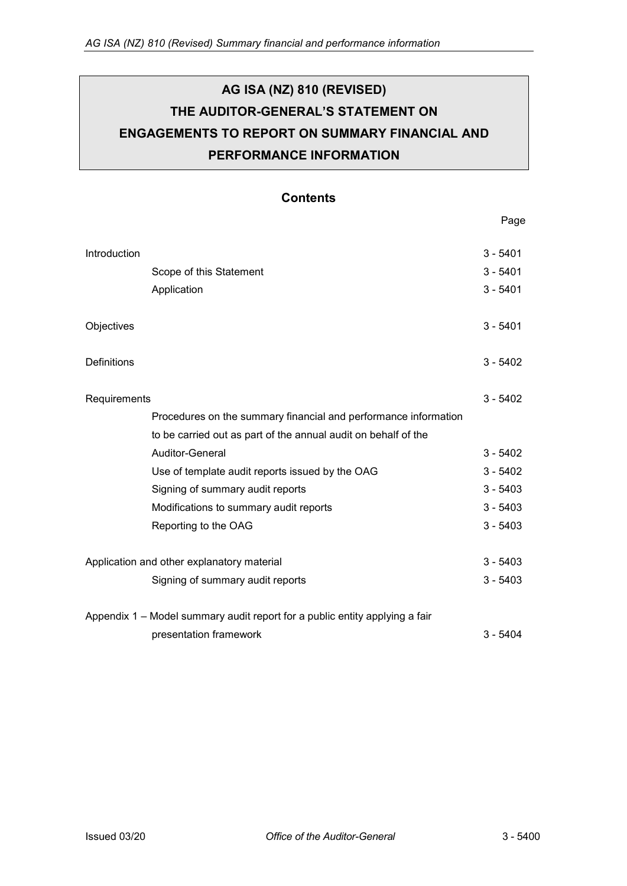# **AG ISA (NZ) 810 (REVISED) THE AUDITOR-GENERAL'S STATEMENT ON ENGAGEMENTS TO REPORT ON SUMMARY FINANCIAL AND PERFORMANCE INFORMATION**

### **Contents**

Page

| Introduction                               |                                                                             | $3 - 5401$ |
|--------------------------------------------|-----------------------------------------------------------------------------|------------|
|                                            | Scope of this Statement                                                     | $3 - 5401$ |
|                                            | Application                                                                 | $3 - 5401$ |
|                                            |                                                                             |            |
| Objectives                                 |                                                                             | $3 - 5401$ |
|                                            |                                                                             |            |
| Definitions                                |                                                                             | $3 - 5402$ |
|                                            |                                                                             | $3 - 5402$ |
|                                            | Requirements                                                                |            |
|                                            | Procedures on the summary financial and performance information             |            |
|                                            | to be carried out as part of the annual audit on behalf of the              |            |
|                                            | Auditor-General                                                             | $3 - 5402$ |
|                                            | Use of template audit reports issued by the OAG                             | $3 - 5402$ |
|                                            | Signing of summary audit reports                                            | $3 - 5403$ |
|                                            | Modifications to summary audit reports                                      | $3 - 5403$ |
|                                            | Reporting to the OAG                                                        | $3 - 5403$ |
|                                            |                                                                             |            |
| Application and other explanatory material |                                                                             | $3 - 5403$ |
|                                            | Signing of summary audit reports                                            | $3 - 5403$ |
|                                            | Appendix 1 – Model summary audit report for a public entity applying a fair |            |
|                                            | presentation framework                                                      | $3 - 5404$ |
|                                            |                                                                             |            |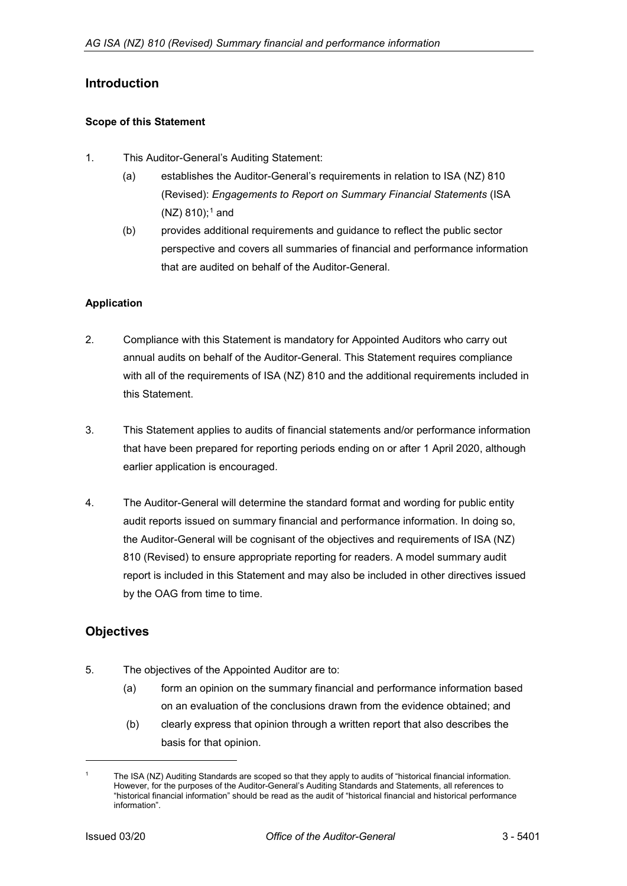# <span id="page-1-0"></span>**Introduction**

### <span id="page-1-1"></span>**Scope of this Statement**

- 1. This Auditor-General's Auditing Statement:
	- (a) establishes the Auditor-General's requirements in relation to ISA (NZ) 810 (Revised): *Engagements to Report on Summary Financial Statements* (ISA  $(NZ)$  8[1](#page-1-4)0);<sup>1</sup> and
	- (b) provides additional requirements and guidance to reflect the public sector perspective and covers all summaries of financial and performance information that are audited on behalf of the Auditor-General.

### <span id="page-1-2"></span>**Application**

- 2. Compliance with this Statement is mandatory for Appointed Auditors who carry out annual audits on behalf of the Auditor-General. This Statement requires compliance with all of the requirements of ISA (NZ) 810 and the additional requirements included in this Statement.
- 3. This Statement applies to audits of financial statements and/or performance information that have been prepared for reporting periods ending on or after 1 April 2020, although earlier application is encouraged.
- 4. The Auditor-General will determine the standard format and wording for public entity audit reports issued on summary financial and performance information. In doing so, the Auditor-General will be cognisant of the objectives and requirements of ISA (NZ) 810 (Revised) to ensure appropriate reporting for readers. A model summary audit report is included in this Statement and may also be included in other directives issued by the OAG from time to time.

# <span id="page-1-3"></span>**Objectives**

- 5. The objectives of the Appointed Auditor are to:
	- (a) form an opinion on the summary financial and performance information based on an evaluation of the conclusions drawn from the evidence obtained; and
	- (b) clearly express that opinion through a written report that also describes the basis for that opinion.

-

<span id="page-1-4"></span>The ISA (NZ) Auditing Standards are scoped so that they apply to audits of "historical financial information. However, for the purposes of the Auditor-General's Auditing Standards and Statements, all references to "historical financial information" should be read as the audit of "historical financial and historical performance information".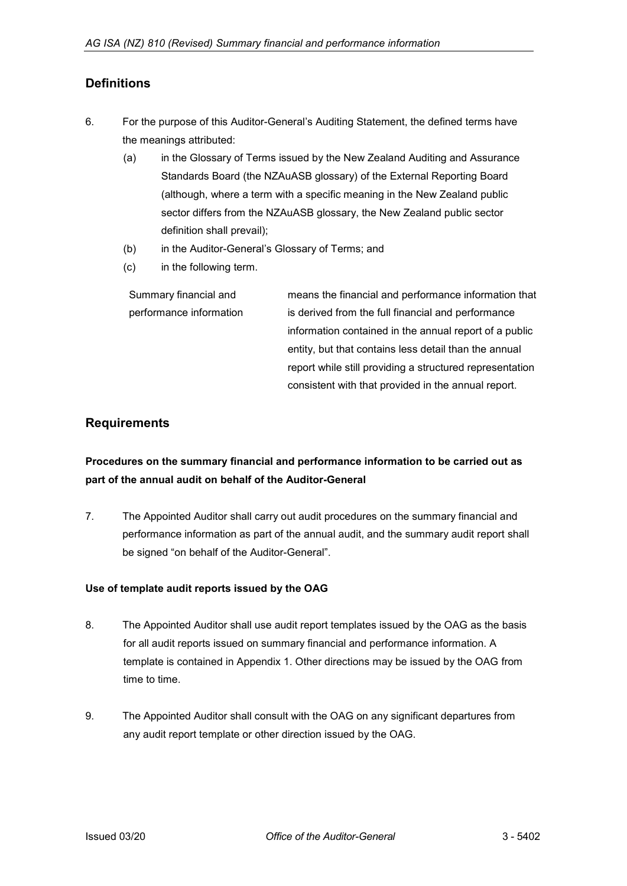# <span id="page-2-0"></span>**Definitions**

- 6. For the purpose of this Auditor-General's Auditing Statement, the defined terms have the meanings attributed:
	- (a) in the Glossary of Terms issued by the New Zealand Auditing and Assurance Standards Board (the NZAuASB glossary) of the External Reporting Board (although, where a term with a specific meaning in the New Zealand public sector differs from the NZAuASB glossary, the New Zealand public sector definition shall prevail);
	- (b) in the Auditor-General's Glossary of Terms; and
	- (c) in the following term.

Summary financial and performance information means the financial and performance information that is derived from the full financial and performance information contained in the annual report of a public entity, but that contains less detail than the annual report while still providing a structured representation consistent with that provided in the annual report.

### <span id="page-2-1"></span>**Requirements**

# <span id="page-2-2"></span>**Procedures on the summary financial and performance information to be carried out as part of the annual audit on behalf of the Auditor-General**

7. The Appointed Auditor shall carry out audit procedures on the summary financial and performance information as part of the annual audit, and the summary audit report shall be signed "on behalf of the Auditor-General".

### <span id="page-2-3"></span>**Use of template audit reports issued by the OAG**

- 8. The Appointed Auditor shall use audit report templates issued by the OAG as the basis for all audit reports issued on summary financial and performance information. A template is contained in Appendix 1. Other directions may be issued by the OAG from time to time.
- <span id="page-2-4"></span>9. The Appointed Auditor shall consult with the OAG on any significant departures from any audit report template or other direction issued by the OAG.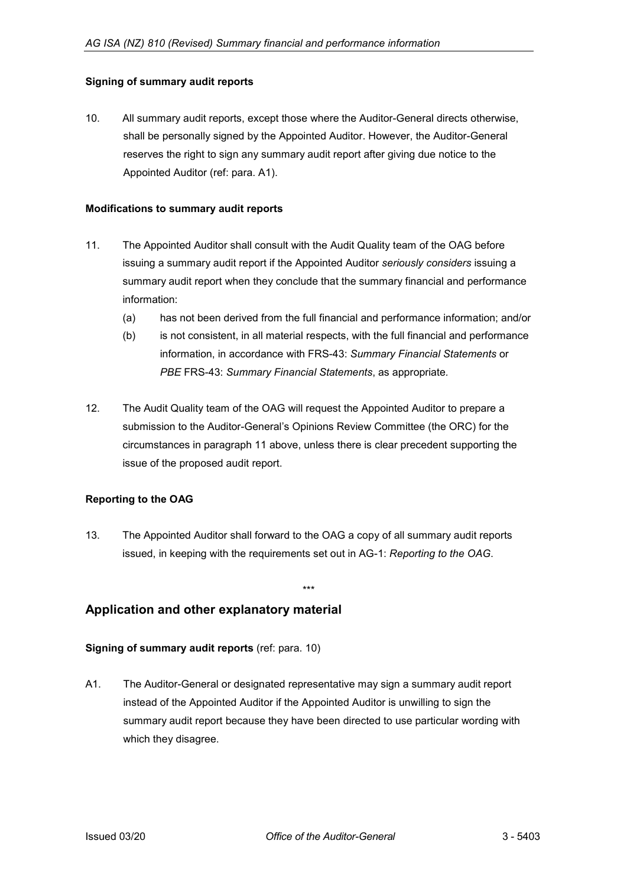### **Signing of summary audit reports**

10. All summary audit reports, except those where the Auditor-General directs otherwise, shall be personally signed by the Appointed Auditor. However, the Auditor-General reserves the right to sign any summary audit report after giving due notice to the Appointed Auditor (ref: para. A1).

#### <span id="page-3-0"></span>**Modifications to summary audit reports**

- 11. The Appointed Auditor shall consult with the Audit Quality team of the OAG before issuing a summary audit report if the Appointed Auditor *seriously considers* issuing a summary audit report when they conclude that the summary financial and performance information:
	- (a) has not been derived from the full financial and performance information; and/or
	- (b) is not consistent, in all material respects, with the full financial and performance information, in accordance with FRS-43: *Summary Financial Statements* or *PBE* FRS-43: *Summary Financial Statements*, as appropriate*.*
- 12. The Audit Quality team of the OAG will request the Appointed Auditor to prepare a submission to the Auditor-General's Opinions Review Committee (the ORC) for the circumstances in paragraph 11 above, unless there is clear precedent supporting the issue of the proposed audit report.

### <span id="page-3-1"></span>**Reporting to the OAG**

13. The Appointed Auditor shall forward to the OAG a copy of all summary audit reports issued, in keeping with the requirements set out in AG-1: *Reporting to the OAG*.

\*\*\*

### <span id="page-3-2"></span>**Application and other explanatory material**

### <span id="page-3-3"></span>**Signing of summary audit reports** (ref: para. 10)

A1. The Auditor-General or designated representative may sign a summary audit report instead of the Appointed Auditor if the Appointed Auditor is unwilling to sign the summary audit report because they have been directed to use particular wording with which they disagree.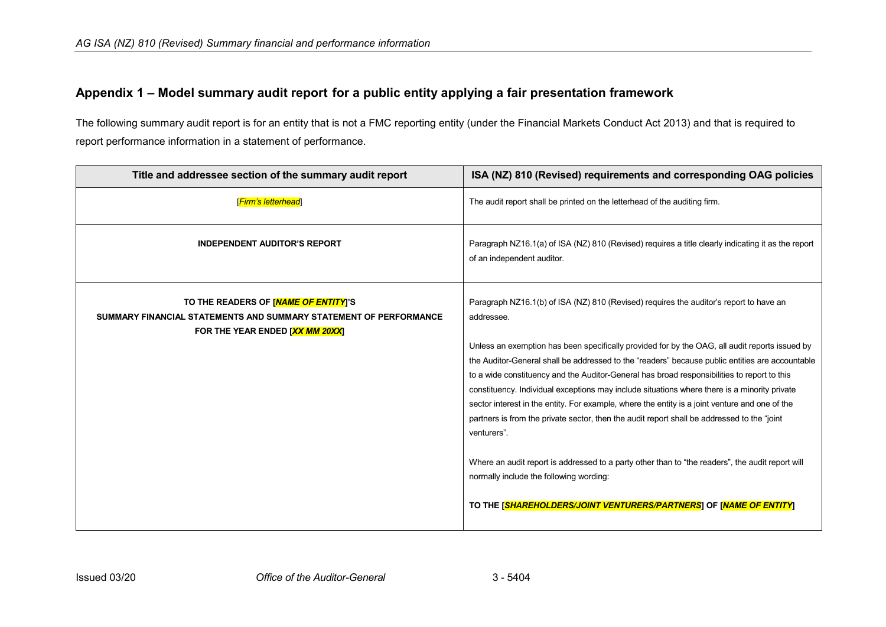# **Appendix 1 – Model summary audit report for a public entity applying a fair presentation framework**

The following summary audit report is for an entity that is not a FMC reporting entity (under the Financial Markets Conduct Act 2013) and that is required to report performance information in a statement of performance.

<span id="page-4-0"></span>

| Title and addressee section of the summary audit report                                                                                      | ISA (NZ) 810 (Revised) requirements and corresponding OAG policies                                                                                                                                                                                                                                                                                                                                                                                                                                                                                                                                                                                                                                                                                                                                                                                                                                                                            |
|----------------------------------------------------------------------------------------------------------------------------------------------|-----------------------------------------------------------------------------------------------------------------------------------------------------------------------------------------------------------------------------------------------------------------------------------------------------------------------------------------------------------------------------------------------------------------------------------------------------------------------------------------------------------------------------------------------------------------------------------------------------------------------------------------------------------------------------------------------------------------------------------------------------------------------------------------------------------------------------------------------------------------------------------------------------------------------------------------------|
| [Firm's letterhead]                                                                                                                          | The audit report shall be printed on the letterhead of the auditing firm.                                                                                                                                                                                                                                                                                                                                                                                                                                                                                                                                                                                                                                                                                                                                                                                                                                                                     |
| <b>INDEPENDENT AUDITOR'S REPORT</b>                                                                                                          | Paragraph NZ16.1(a) of ISA (NZ) 810 (Revised) requires a title clearly indicating it as the report<br>of an independent auditor.                                                                                                                                                                                                                                                                                                                                                                                                                                                                                                                                                                                                                                                                                                                                                                                                              |
| TO THE READERS OF [NAME OF ENTITY]'S<br>SUMMARY FINANCIAL STATEMENTS AND SUMMARY STATEMENT OF PERFORMANCE<br>FOR THE YEAR ENDED [XX MM 20XX] | Paragraph NZ16.1(b) of ISA (NZ) 810 (Revised) requires the auditor's report to have an<br>addressee<br>Unless an exemption has been specifically provided for by the OAG, all audit reports issued by<br>the Auditor-General shall be addressed to the "readers" because public entities are accountable<br>to a wide constituency and the Auditor-General has broad responsibilities to report to this<br>constituency. Individual exceptions may include situations where there is a minority private<br>sector interest in the entity. For example, where the entity is a joint venture and one of the<br>partners is from the private sector, then the audit report shall be addressed to the "joint"<br>venturers".<br>Where an audit report is addressed to a party other than to "the readers", the audit report will<br>normally include the following wording:<br>TO THE [SHAREHOLDERS/JOINT VENTURERS/PARTNERS] OF [NAME OF ENTITY] |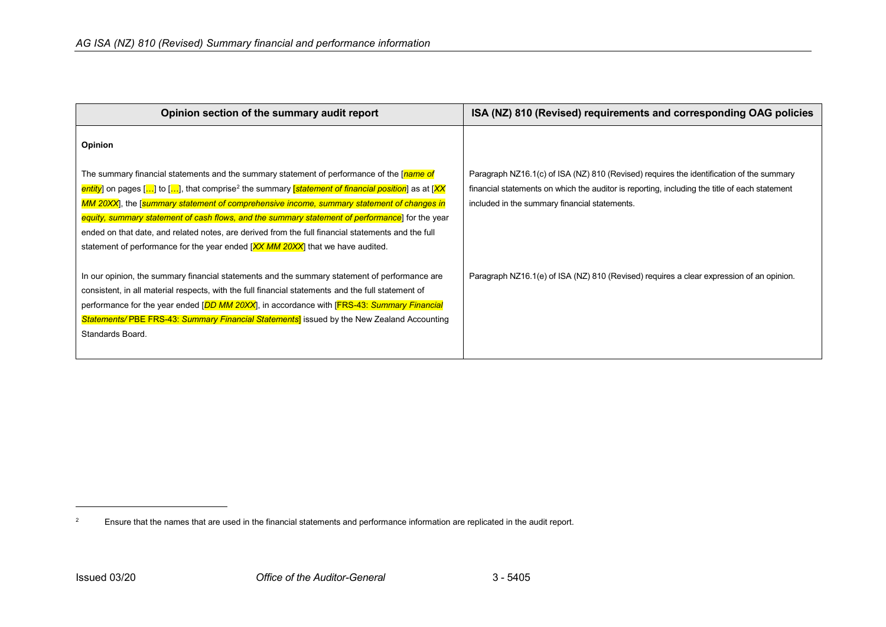<span id="page-5-0"></span>

| Opinion section of the summary audit report                                                                                                                                                                                                                                                                                                                                                                                                                                                                                                                                                               | ISA (NZ) 810 (Revised) requirements and corresponding OAG policies                                                                                                                                                                         |
|-----------------------------------------------------------------------------------------------------------------------------------------------------------------------------------------------------------------------------------------------------------------------------------------------------------------------------------------------------------------------------------------------------------------------------------------------------------------------------------------------------------------------------------------------------------------------------------------------------------|--------------------------------------------------------------------------------------------------------------------------------------------------------------------------------------------------------------------------------------------|
| Opinion                                                                                                                                                                                                                                                                                                                                                                                                                                                                                                                                                                                                   |                                                                                                                                                                                                                                            |
| The summary financial statements and the summary statement of performance of the [ <i>name of</i><br>entity] on pages [] to [], that comprise <sup>2</sup> the summary [statement of financial position] as at [XX<br>MM 20XX], the [summary statement of comprehensive income, summary statement of changes in<br>equity, summary statement of cash flows, and the summary statement of performance for the year<br>ended on that date, and related notes, are derived from the full financial statements and the full<br>statement of performance for the year ended [XX MM 20XX] that we have audited. | Paragraph NZ16.1(c) of ISA (NZ) 810 (Revised) requires the identification of the summary<br>financial statements on which the auditor is reporting, including the title of each statement<br>included in the summary financial statements. |
| In our opinion, the summary financial statements and the summary statement of performance are<br>consistent, in all material respects, with the full financial statements and the full statement of<br>performance for the year ended [DD MM 20XX], in accordance with [FRS-43: Summary Financial<br><b>Statements/PBE FRS-43: Summary Financial Statements</b> issued by the New Zealand Accounting<br>Standards Board.                                                                                                                                                                                  | Paragraph NZ16.1(e) of ISA (NZ) 810 (Revised) requires a clear expression of an opinion.                                                                                                                                                   |

j

<sup>&</sup>lt;sup>2</sup> Ensure that the names that are used in the financial statements and performance information are replicated in the audit report.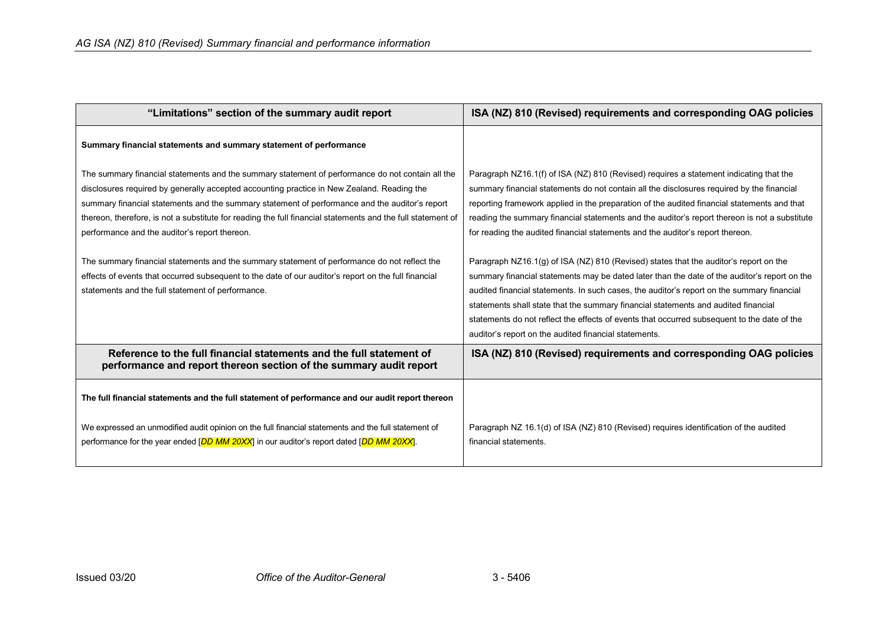| "Limitations" section of the summary audit report                                                                                                                                                                                                                                                                                                                                                                                                                                                                                                                                                                                                                                                                             | ISA (NZ) 810 (Revised) requirements and corresponding OAG policies                                                                                                                                                                                                                                                                                                                                                                                                                                                                                                                                                                                                                                                                                                                                                                                                                                                                                  |  |
|-------------------------------------------------------------------------------------------------------------------------------------------------------------------------------------------------------------------------------------------------------------------------------------------------------------------------------------------------------------------------------------------------------------------------------------------------------------------------------------------------------------------------------------------------------------------------------------------------------------------------------------------------------------------------------------------------------------------------------|-----------------------------------------------------------------------------------------------------------------------------------------------------------------------------------------------------------------------------------------------------------------------------------------------------------------------------------------------------------------------------------------------------------------------------------------------------------------------------------------------------------------------------------------------------------------------------------------------------------------------------------------------------------------------------------------------------------------------------------------------------------------------------------------------------------------------------------------------------------------------------------------------------------------------------------------------------|--|
| Summary financial statements and summary statement of performance                                                                                                                                                                                                                                                                                                                                                                                                                                                                                                                                                                                                                                                             |                                                                                                                                                                                                                                                                                                                                                                                                                                                                                                                                                                                                                                                                                                                                                                                                                                                                                                                                                     |  |
| The summary financial statements and the summary statement of performance do not contain all the<br>disclosures required by generally accepted accounting practice in New Zealand. Reading the<br>summary financial statements and the summary statement of performance and the auditor's report<br>thereon, therefore, is not a substitute for reading the full financial statements and the full statement of<br>performance and the auditor's report thereon.<br>The summary financial statements and the summary statement of performance do not reflect the<br>effects of events that occurred subsequent to the date of our auditor's report on the full financial<br>statements and the full statement of performance. | Paragraph NZ16.1(f) of ISA (NZ) 810 (Revised) requires a statement indicating that the<br>summary financial statements do not contain all the disclosures required by the financial<br>reporting framework applied in the preparation of the audited financial statements and that<br>reading the summary financial statements and the auditor's report thereon is not a substitute<br>for reading the audited financial statements and the auditor's report thereon.<br>Paragraph $NZ16.1(g)$ of ISA (NZ) 810 (Revised) states that the auditor's report on the<br>summary financial statements may be dated later than the date of the auditor's report on the<br>audited financial statements. In such cases, the auditor's report on the summary financial<br>statements shall state that the summary financial statements and audited financial<br>statements do not reflect the effects of events that occurred subsequent to the date of the |  |
|                                                                                                                                                                                                                                                                                                                                                                                                                                                                                                                                                                                                                                                                                                                               | auditor's report on the audited financial statements.                                                                                                                                                                                                                                                                                                                                                                                                                                                                                                                                                                                                                                                                                                                                                                                                                                                                                               |  |
| Reference to the full financial statements and the full statement of<br>performance and report thereon section of the summary audit report                                                                                                                                                                                                                                                                                                                                                                                                                                                                                                                                                                                    | ISA (NZ) 810 (Revised) requirements and corresponding OAG policies                                                                                                                                                                                                                                                                                                                                                                                                                                                                                                                                                                                                                                                                                                                                                                                                                                                                                  |  |
| The full financial statements and the full statement of performance and our audit report thereon                                                                                                                                                                                                                                                                                                                                                                                                                                                                                                                                                                                                                              |                                                                                                                                                                                                                                                                                                                                                                                                                                                                                                                                                                                                                                                                                                                                                                                                                                                                                                                                                     |  |
| We expressed an unmodified audit opinion on the full financial statements and the full statement of<br>performance for the year ended [DD MM 20XX] in our auditor's report dated [DD MM 20XX].                                                                                                                                                                                                                                                                                                                                                                                                                                                                                                                                | Paragraph NZ 16.1(d) of ISA (NZ) 810 (Revised) requires identification of the audited<br>financial statements.                                                                                                                                                                                                                                                                                                                                                                                                                                                                                                                                                                                                                                                                                                                                                                                                                                      |  |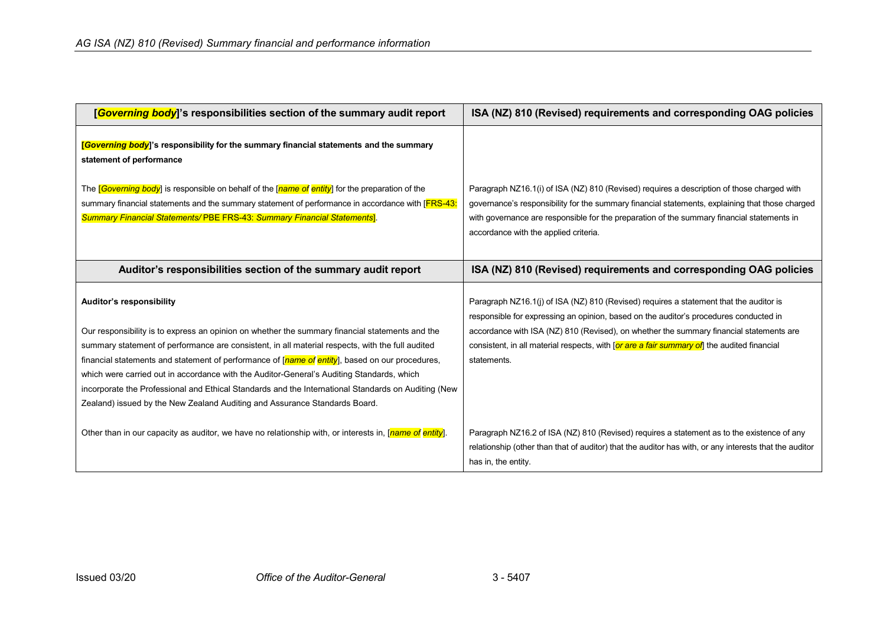| [Governing body]'s responsibilities section of the summary audit report                                                                                                                                                                                                                                                                                                                                                                                                                                                                                                                                              | ISA (NZ) 810 (Revised) requirements and corresponding OAG policies                                                                                                                                                                                                                                                                                                                       |
|----------------------------------------------------------------------------------------------------------------------------------------------------------------------------------------------------------------------------------------------------------------------------------------------------------------------------------------------------------------------------------------------------------------------------------------------------------------------------------------------------------------------------------------------------------------------------------------------------------------------|------------------------------------------------------------------------------------------------------------------------------------------------------------------------------------------------------------------------------------------------------------------------------------------------------------------------------------------------------------------------------------------|
| <mark>[Governing body</mark> ]'s responsibility for the summary financial statements and the summary<br>statement of performance                                                                                                                                                                                                                                                                                                                                                                                                                                                                                     |                                                                                                                                                                                                                                                                                                                                                                                          |
| The <i>[Governing body</i> ] is responsible on behalf of the [name of entity] for the preparation of the<br>summary financial statements and the summary statement of performance in accordance with [FRS-43]<br>Summary Financial Statements/PBE FRS-43: Summary Financial Statements].                                                                                                                                                                                                                                                                                                                             | Paragraph NZ16.1(i) of ISA (NZ) 810 (Revised) requires a description of those charged with<br>governance's responsibility for the summary financial statements, explaining that those charged<br>with governance are responsible for the preparation of the summary financial statements in<br>accordance with the applied criteria.                                                     |
| Auditor's responsibilities section of the summary audit report                                                                                                                                                                                                                                                                                                                                                                                                                                                                                                                                                       | ISA (NZ) 810 (Revised) requirements and corresponding OAG policies                                                                                                                                                                                                                                                                                                                       |
| Auditor's responsibility<br>Our responsibility is to express an opinion on whether the summary financial statements and the<br>summary statement of performance are consistent, in all material respects, with the full audited<br>financial statements and statement of performance of [name of entity], based on our procedures,<br>which were carried out in accordance with the Auditor-General's Auditing Standards, which<br>incorporate the Professional and Ethical Standards and the International Standards on Auditing (New<br>Zealand) issued by the New Zealand Auditing and Assurance Standards Board. | Paragraph NZ16.1(j) of ISA (NZ) 810 (Revised) requires a statement that the auditor is<br>responsible for expressing an opinion, based on the auditor's procedures conducted in<br>accordance with ISA (NZ) 810 (Revised), on whether the summary financial statements are<br>consistent, in all material respects, with [or are a fair summary of] the audited financial<br>statements. |
| Other than in our capacity as auditor, we have no relationship with, or interests in, [name of entity].                                                                                                                                                                                                                                                                                                                                                                                                                                                                                                              | Paragraph NZ16.2 of ISA (NZ) 810 (Revised) requires a statement as to the existence of any<br>relationship (other than that of auditor) that the auditor has with, or any interests that the auditor<br>has in, the entity.                                                                                                                                                              |